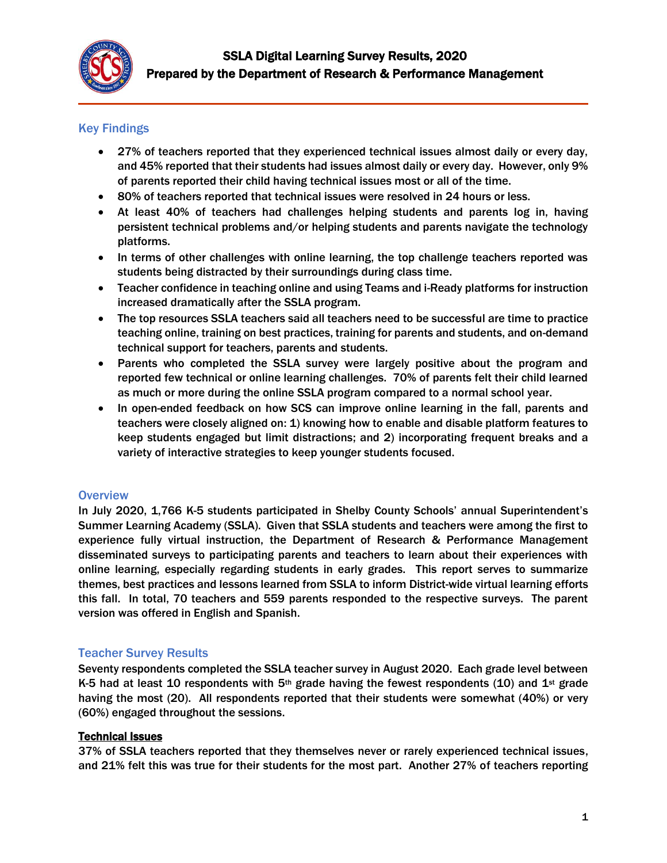

## Key Findings

- 27% of teachers reported that they experienced technical issues almost daily or every day, and 45% reported that their students had issues almost daily or every day. However, only 9% of parents reported their child having technical issues most or all of the time.
- 80% of teachers reported that technical issues were resolved in 24 hours or less.
- At least 40% of teachers had challenges helping students and parents log in, having persistent technical problems and/or helping students and parents navigate the technology platforms.
- In terms of other challenges with online learning, the top challenge teachers reported was students being distracted by their surroundings during class time.
- Teacher confidence in teaching online and using Teams and i-Ready platforms for instruction increased dramatically after the SSLA program.
- The top resources SSLA teachers said all teachers need to be successful are time to practice teaching online, training on best practices, training for parents and students, and on-demand technical support for teachers, parents and students.
- Parents who completed the SSLA survey were largely positive about the program and reported few technical or online learning challenges. 70% of parents felt their child learned as much or more during the online SSLA program compared to a normal school year.
- In open-ended feedback on how SCS can improve online learning in the fall, parents and teachers were closely aligned on: 1) knowing how to enable and disable platform features to keep students engaged but limit distractions; and 2) incorporating frequent breaks and a variety of interactive strategies to keep younger students focused.

#### **Overview**

In July 2020, 1,766 K-5 students participated in Shelby County Schools' annual Superintendent's Summer Learning Academy (SSLA). Given that SSLA students and teachers were among the first to experience fully virtual instruction, the Department of Research & Performance Management disseminated surveys to participating parents and teachers to learn about their experiences with online learning, especially regarding students in early grades. This report serves to summarize themes, best practices and lessons learned from SSLA to inform District-wide virtual learning efforts this fall. In total, 70 teachers and 559 parents responded to the respective surveys. The parent version was offered in English and Spanish.

#### Teacher Survey Results

Seventy respondents completed the SSLA teacher survey in August 2020. Each grade level between K-5 had at least 10 respondents with 5<sup>th</sup> grade having the fewest respondents (10) and 1<sup>st</sup> grade having the most (20). All respondents reported that their students were somewhat (40%) or very (60%) engaged throughout the sessions.

#### Technical Issues

37% of SSLA teachers reported that they themselves never or rarely experienced technical issues, and 21% felt this was true for their students for the most part. Another 27% of teachers reporting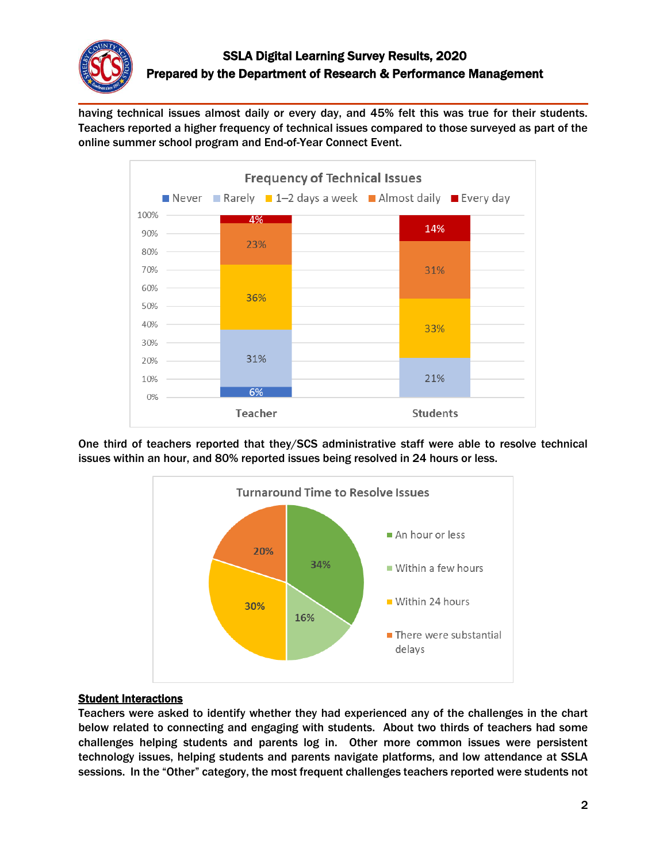

having technical issues almost daily or every day, and 45% felt this was true for their students. Teachers reported a higher frequency of technical issues compared to those surveyed as part of the online summer school program and End-of-Year Connect Event.



One third of teachers reported that they/SCS administrative staff were able to resolve technical issues within an hour, and 80% reported issues being resolved in 24 hours or less.



#### Student Interactions

Teachers were asked to identify whether they had experienced any of the challenges in the chart below related to connecting and engaging with students. About two thirds of teachers had some challenges helping students and parents log in. Other more common issues were persistent technology issues, helping students and parents navigate platforms, and low attendance at SSLA sessions. In the "Other" category, the most frequent challenges teachers reported were students not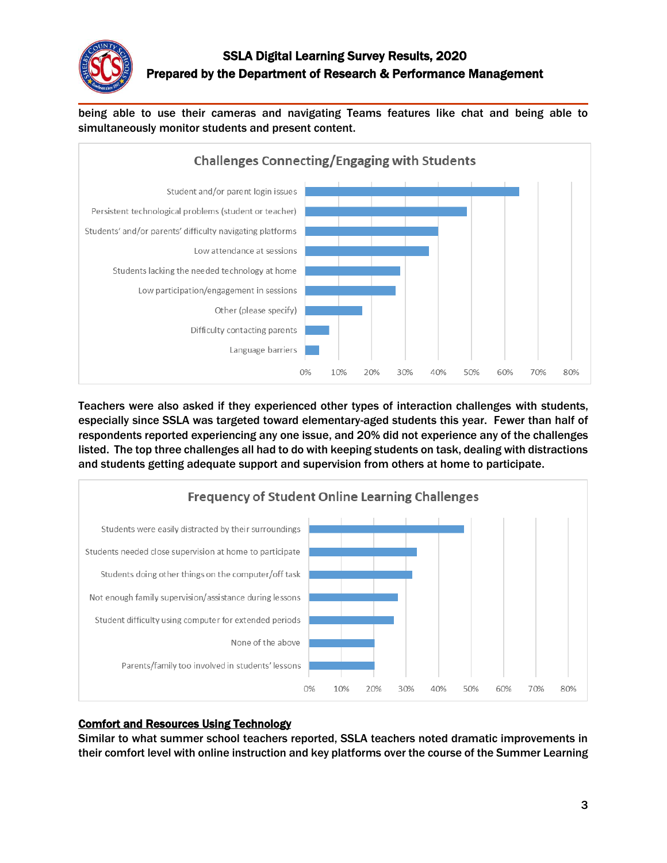

being able to use their cameras and navigating Teams features like chat and being able to simultaneously monitor students and present content.



Teachers were also asked if they experienced other types of interaction challenges with students, especially since SSLA was targeted toward elementary-aged students this year. Fewer than half of respondents reported experiencing any one issue, and 20% did not experience any of the challenges listed. The top three challenges all had to do with keeping students on task, dealing with distractions and students getting adequate support and supervision from others at home to participate.



#### Comfort and Resources Using Technology

Similar to what summer school teachers reported, SSLA teachers noted dramatic improvements in their comfort level with online instruction and key platforms over the course of the Summer Learning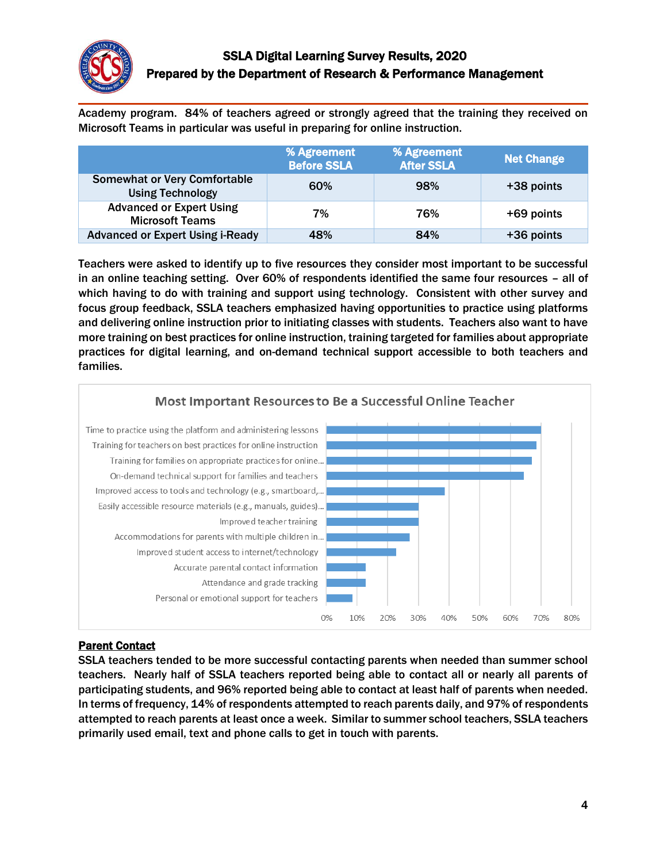

Academy program. 84% of teachers agreed or strongly agreed that the training they received on Microsoft Teams in particular was useful in preparing for online instruction.

|                                                                | % Agreement<br><b>Before SSLA</b> | % Agreement<br><b>After SSLA</b> | <b>Net Change</b> |
|----------------------------------------------------------------|-----------------------------------|----------------------------------|-------------------|
| <b>Somewhat or Very Comfortable</b><br><b>Using Technology</b> | 60%                               | 98%                              | +38 points        |
| <b>Advanced or Expert Using</b><br><b>Microsoft Teams</b>      | 7%                                | 76%                              | +69 points        |
| <b>Advanced or Expert Using i-Ready</b>                        | 48%                               | 84%                              | +36 points        |

Teachers were asked to identify up to five resources they consider most important to be successful in an online teaching setting. Over 60% of respondents identified the same four resources – all of which having to do with training and support using technology. Consistent with other survey and focus group feedback, SSLA teachers emphasized having opportunities to practice using platforms and delivering online instruction prior to initiating classes with students. Teachers also want to have more training on best practices for online instruction, training targeted for families about appropriate practices for digital learning, and on-demand technical support accessible to both teachers and families.



#### Parent Contact

SSLA teachers tended to be more successful contacting parents when needed than summer school teachers. Nearly half of SSLA teachers reported being able to contact all or nearly all parents of participating students, and 96% reported being able to contact at least half of parents when needed. In terms of frequency, 14% of respondents attempted to reach parents daily, and 97% of respondents attempted to reach parents at least once a week. Similar to summer school teachers, SSLA teachers primarily used email, text and phone calls to get in touch with parents.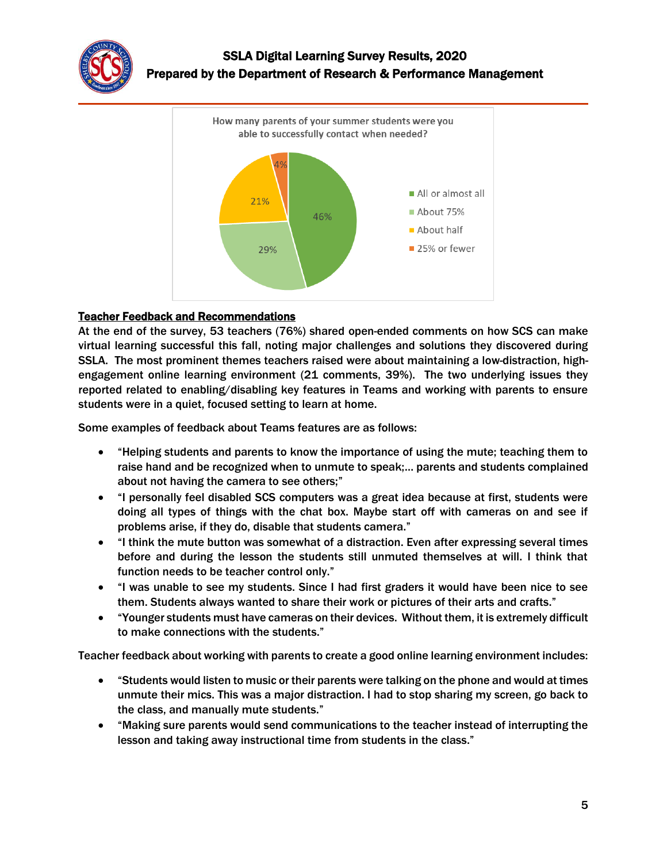



#### Teacher Feedback and Recommendations

At the end of the survey, 53 teachers (76%) shared open-ended comments on how SCS can make virtual learning successful this fall, noting major challenges and solutions they discovered during SSLA. The most prominent themes teachers raised were about maintaining a low-distraction, highengagement online learning environment (21 comments, 39%). The two underlying issues they reported related to enabling/disabling key features in Teams and working with parents to ensure students were in a quiet, focused setting to learn at home.

Some examples of feedback about Teams features are as follows:

- "Helping students and parents to know the importance of using the mute; teaching them to raise hand and be recognized when to unmute to speak;… parents and students complained about not having the camera to see others;"
- "I personally feel disabled SCS computers was a great idea because at first, students were doing all types of things with the chat box. Maybe start off with cameras on and see if problems arise, if they do, disable that students camera."
- "I think the mute button was somewhat of a distraction. Even after expressing several times before and during the lesson the students still unmuted themselves at will. I think that function needs to be teacher control only."
- "I was unable to see my students. Since I had first graders it would have been nice to see them. Students always wanted to share their work or pictures of their arts and crafts."
- "Younger students must have cameras on their devices. Without them, it is extremely difficult to make connections with the students."

Teacher feedback about working with parents to create a good online learning environment includes:

- "Students would listen to music or their parents were talking on the phone and would at times unmute their mics. This was a major distraction. I had to stop sharing my screen, go back to the class, and manually mute students."
- "Making sure parents would send communications to the teacher instead of interrupting the lesson and taking away instructional time from students in the class."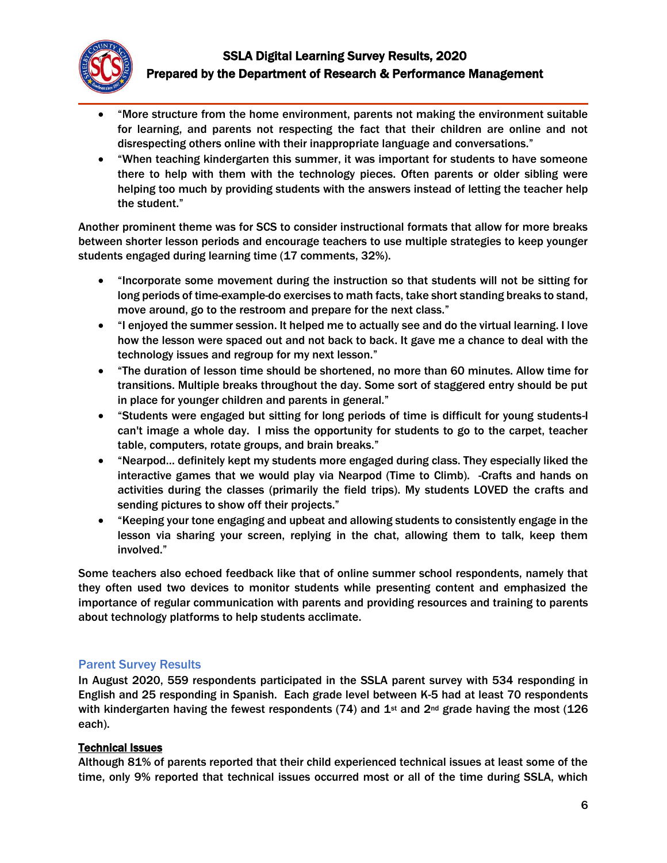

- "More structure from the home environment, parents not making the environment suitable for learning, and parents not respecting the fact that their children are online and not disrespecting others online with their inappropriate language and conversations."
- "When teaching kindergarten this summer, it was important for students to have someone there to help with them with the technology pieces. Often parents or older sibling were helping too much by providing students with the answers instead of letting the teacher help the student."

Another prominent theme was for SCS to consider instructional formats that allow for more breaks between shorter lesson periods and encourage teachers to use multiple strategies to keep younger students engaged during learning time (17 comments, 32%).

- "Incorporate some movement during the instruction so that students will not be sitting for long periods of time-example-do exercises to math facts, take short standing breaks to stand, move around, go to the restroom and prepare for the next class."
- "I enjoyed the summer session. It helped me to actually see and do the virtual learning. I love how the lesson were spaced out and not back to back. It gave me a chance to deal with the technology issues and regroup for my next lesson."
- "The duration of lesson time should be shortened, no more than 60 minutes. Allow time for transitions. Multiple breaks throughout the day. Some sort of staggered entry should be put in place for younger children and parents in general."
- "Students were engaged but sitting for long periods of time is difficult for young students-I can't image a whole day. I miss the opportunity for students to go to the carpet, teacher table, computers, rotate groups, and brain breaks."
- "Nearpod… definitely kept my students more engaged during class. They especially liked the interactive games that we would play via Nearpod (Time to Climb). -Crafts and hands on activities during the classes (primarily the field trips). My students LOVED the crafts and sending pictures to show off their projects."
- "Keeping your tone engaging and upbeat and allowing students to consistently engage in the lesson via sharing your screen, replying in the chat, allowing them to talk, keep them involved."

Some teachers also echoed feedback like that of online summer school respondents, namely that they often used two devices to monitor students while presenting content and emphasized the importance of regular communication with parents and providing resources and training to parents about technology platforms to help students acclimate.

#### Parent Survey Results

In August 2020, 559 respondents participated in the SSLA parent survey with 534 responding in English and 25 responding in Spanish. Each grade level between K-5 had at least 70 respondents with kindergarten having the fewest respondents (74) and  $1<sup>st</sup>$  and  $2<sup>nd</sup>$  grade having the most (126) each).

#### Technical Issues

Although 81% of parents reported that their child experienced technical issues at least some of the time, only 9% reported that technical issues occurred most or all of the time during SSLA, which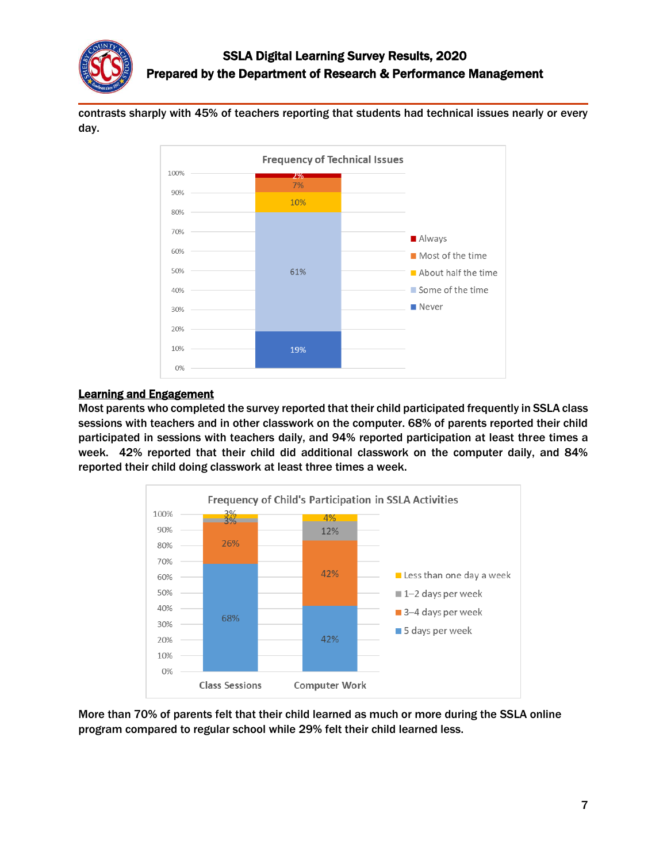

contrasts sharply with 45% of teachers reporting that students had technical issues nearly or every day.



#### Learning and Engagement

Most parents who completed the survey reported that their child participated frequently in SSLA class sessions with teachers and in other classwork on the computer. 68% of parents reported their child participated in sessions with teachers daily, and 94% reported participation at least three times a week. 42% reported that their child did additional classwork on the computer daily, and 84% reported their child doing classwork at least three times a week.



More than 70% of parents felt that their child learned as much or more during the SSLA online program compared to regular school while 29% felt their child learned less.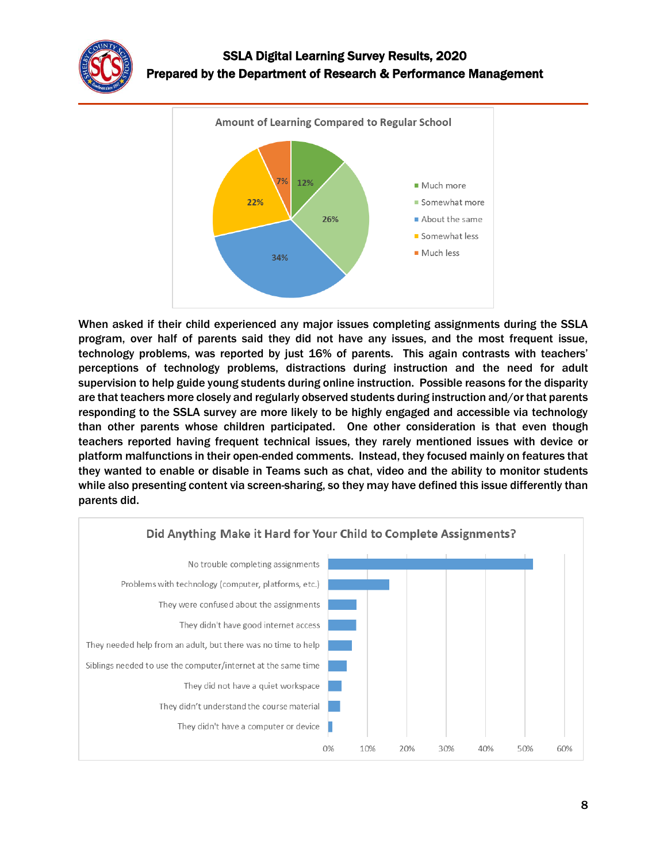



When asked if their child experienced any major issues completing assignments during the SSLA program, over half of parents said they did not have any issues, and the most frequent issue, technology problems, was reported by just 16% of parents. This again contrasts with teachers' perceptions of technology problems, distractions during instruction and the need for adult supervision to help guide young students during online instruction. Possible reasons for the disparity are that teachers more closely and regularly observed students during instruction and/or that parents responding to the SSLA survey are more likely to be highly engaged and accessible via technology than other parents whose children participated. One other consideration is that even though teachers reported having frequent technical issues, they rarely mentioned issues with device or platform malfunctions in their open-ended comments. Instead, they focused mainly on features that they wanted to enable or disable in Teams such as chat, video and the ability to monitor students while also presenting content via screen-sharing, so they may have defined this issue differently than parents did.

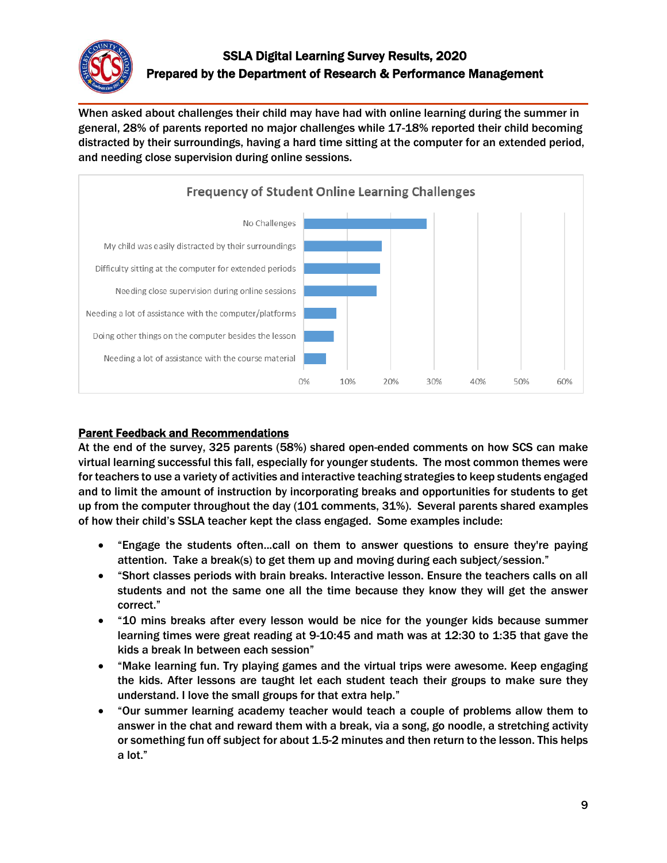

When asked about challenges their child may have had with online learning during the summer in general, 28% of parents reported no major challenges while 17-18% reported their child becoming distracted by their surroundings, having a hard time sitting at the computer for an extended period, and needing close supervision during online sessions.



### Parent Feedback and Recommendations

At the end of the survey, 325 parents (58%) shared open-ended comments on how SCS can make virtual learning successful this fall, especially for younger students. The most common themes were for teachers to use a variety of activities and interactive teaching strategies to keep students engaged and to limit the amount of instruction by incorporating breaks and opportunities for students to get up from the computer throughout the day (101 comments, 31%). Several parents shared examples of how their child's SSLA teacher kept the class engaged. Some examples include:

- "Engage the students often...call on them to answer questions to ensure they're paying attention. Take a break(s) to get them up and moving during each subject/session."
- "Short classes periods with brain breaks. Interactive lesson. Ensure the teachers calls on all students and not the same one all the time because they know they will get the answer correct."
- "10 mins breaks after every lesson would be nice for the younger kids because summer learning times were great reading at 9-10:45 and math was at 12:30 to 1:35 that gave the kids a break In between each session"
- "Make learning fun. Try playing games and the virtual trips were awesome. Keep engaging the kids. After lessons are taught let each student teach their groups to make sure they understand. I love the small groups for that extra help."
- "Our summer learning academy teacher would teach a couple of problems allow them to answer in the chat and reward them with a break, via a song, go noodle, a stretching activity or something fun off subject for about 1.5-2 minutes and then return to the lesson. This helps a lot."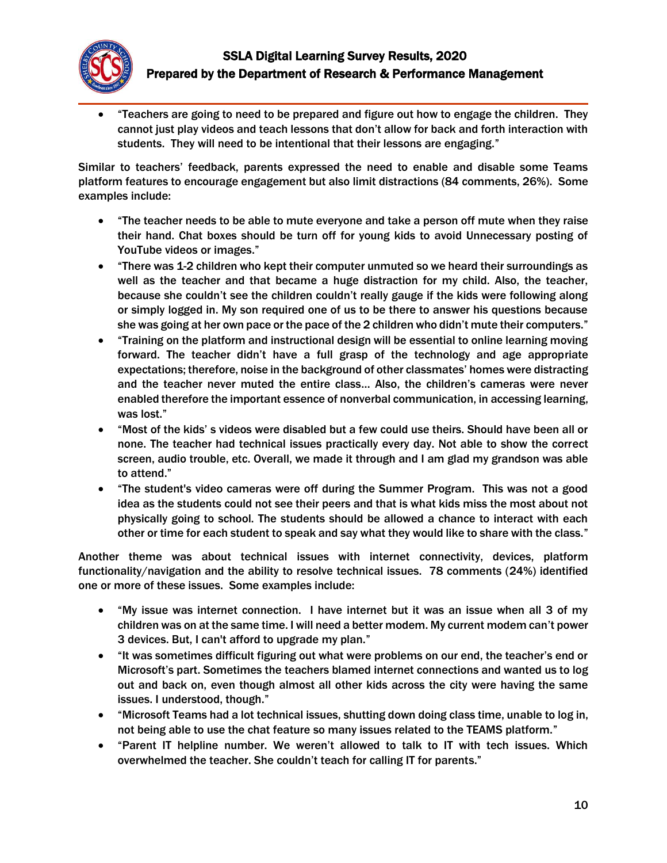

 "Teachers are going to need to be prepared and figure out how to engage the children. They cannot just play videos and teach lessons that don't allow for back and forth interaction with students. They will need to be intentional that their lessons are engaging."

Similar to teachers' feedback, parents expressed the need to enable and disable some Teams platform features to encourage engagement but also limit distractions (84 comments, 26%). Some examples include:

- "The teacher needs to be able to mute everyone and take a person off mute when they raise their hand. Chat boxes should be turn off for young kids to avoid Unnecessary posting of YouTube videos or images."
- "There was 1-2 children who kept their computer unmuted so we heard their surroundings as well as the teacher and that became a huge distraction for my child. Also, the teacher, because she couldn't see the children couldn't really gauge if the kids were following along or simply logged in. My son required one of us to be there to answer his questions because she was going at her own pace or the pace of the 2 children who didn't mute their computers."
- "Training on the platform and instructional design will be essential to online learning moving forward. The teacher didn't have a full grasp of the technology and age appropriate expectations; therefore, noise in the background of other classmates' homes were distracting and the teacher never muted the entire class… Also, the children's cameras were never enabled therefore the important essence of nonverbal communication, in accessing learning, was lost."
- "Most of the kids' s videos were disabled but a few could use theirs. Should have been all or none. The teacher had technical issues practically every day. Not able to show the correct screen, audio trouble, etc. Overall, we made it through and I am glad my grandson was able to attend."
- "The student's video cameras were off during the Summer Program. This was not a good idea as the students could not see their peers and that is what kids miss the most about not physically going to school. The students should be allowed a chance to interact with each other or time for each student to speak and say what they would like to share with the class."

Another theme was about technical issues with internet connectivity, devices, platform functionality/navigation and the ability to resolve technical issues. 78 comments (24%) identified one or more of these issues. Some examples include:

- "My issue was internet connection. I have internet but it was an issue when all 3 of my children was on at the same time. I will need a better modem. My current modem can't power 3 devices. But, I can't afford to upgrade my plan."
- "It was sometimes difficult figuring out what were problems on our end, the teacher's end or Microsoft's part. Sometimes the teachers blamed internet connections and wanted us to log out and back on, even though almost all other kids across the city were having the same issues. I understood, though."
- "Microsoft Teams had a lot technical issues, shutting down doing class time, unable to log in, not being able to use the chat feature so many issues related to the TEAMS platform."
- "Parent IT helpline number. We weren't allowed to talk to IT with tech issues. Which overwhelmed the teacher. She couldn't teach for calling IT for parents."